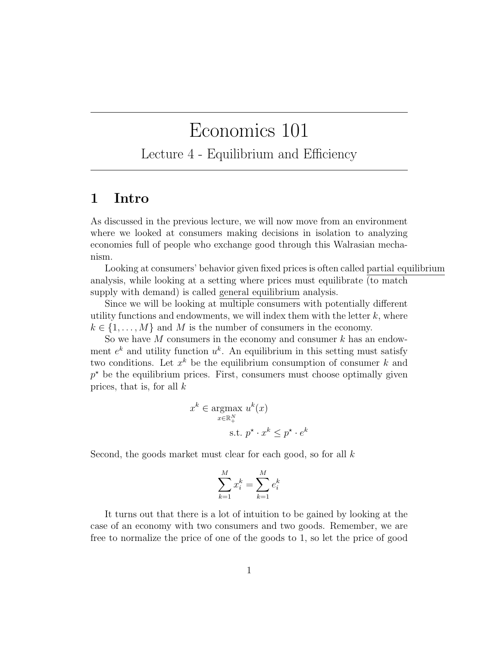## Economics 101

Lecture 4 - Equilibrium and Efficiency

## 1 Intro

As discussed in the previous lecture, we will now move from an environment where we looked at consumers making decisions in isolation to analyzing economies full of people who exchange good through this Walrasian mechanism.

Looking at consumers' behavior given fixed prices is often called partial equilibrium analysis, while looking at a setting where prices must equilibrate (to match supply with demand) is called general equilibrium analysis.

Since we will be looking at multiple consumers with potentially different utility functions and endowments, we will index them with the letter  $k$ , where  $k \in \{1, \ldots, M\}$  and M is the number of consumers in the economy.

So we have  $M$  consumers in the economy and consumer  $k$  has an endowment  $e^k$  and utility function  $u^k$ . An equilibrium in this setting must satisfy two conditions. Let  $x^k$  be the equilibrium consumption of consumer k and  $p^*$  be the equilibrium prices. First, consumers must choose optimally given prices, that is, for all  $k$ 

$$
x^{k} \in \underset{x \in \mathbb{R}_{+}^{N}}{\operatorname{argmax}} \; u^{k}(x)
$$
  
s.t. 
$$
p^{\star} \cdot x^{k} \leq p^{\star} \cdot e^{k}
$$

Second, the goods market must clear for each good, so for all k

$$
\sum_{k=1}^{M} x_i^k = \sum_{k=1}^{M} e_i^k
$$

It turns out that there is a lot of intuition to be gained by looking at the case of an economy with two consumers and two goods. Remember, we are free to normalize the price of one of the goods to 1, so let the price of good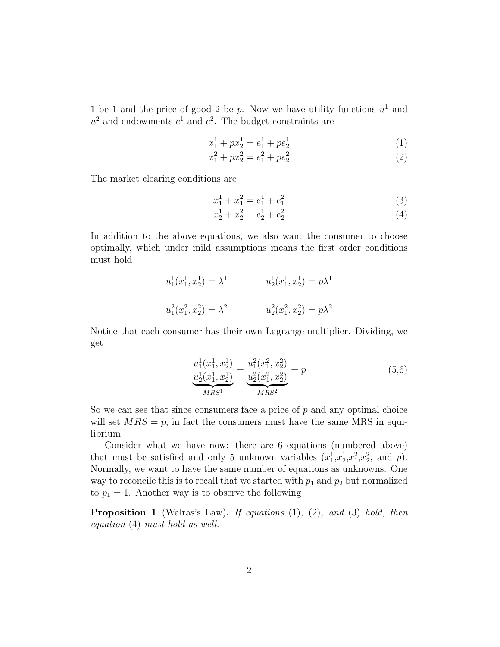1 be 1 and the price of good 2 be p. Now we have utility functions  $u^1$  and  $u^2$  and endowments  $e^1$  and  $e^2$ . The budget constraints are

$$
x_1^1 + px_2^1 = e_1^1 + pe_2^1 \tag{1}
$$

$$
x_1^2 + px_2^2 = e_1^2 + pe_2^2 \tag{2}
$$

The market clearing conditions are

$$
x_1^1 + x_1^2 = e_1^1 + e_1^2 \tag{3}
$$

$$
x_2^1 + x_2^2 = e_2^1 + e_2^2 \tag{4}
$$

In addition to the above equations, we also want the consumer to choose optimally, which under mild assumptions means the first order conditions must hold

$$
u_1^1(x_1^1, x_2^1) = \lambda^1
$$
  
\n
$$
u_2^1(x_1^1, x_2^1) = p\lambda^1
$$
  
\n
$$
u_1^2(x_1^2, x_2^2) = \lambda^2
$$
  
\n
$$
u_2^2(x_1^2, x_2^2) = p\lambda^2
$$

Notice that each consumer has their own Lagrange multiplier. Dividing, we get

$$
\frac{u_1^1(x_1^1, x_2^1)}{u_2^1(x_1^1, x_2^1)} = \frac{u_1^2(x_1^2, x_2^2)}{u_2^2(x_1^2, x_2^2)} = p
$$
\n
$$
\frac{u_1^1(x_1^1, x_2^1)}{MRS^2} = p
$$
\n(5.6)

So we can see that since consumers face a price of  $p$  and any optimal choice will set  $MRS = p$ , in fact the consumers must have the same MRS in equilibrium.

Consider what we have now: there are 6 equations (numbered above) that must be satisfied and only 5 unknown variables  $(x_1^1, x_2^1, x_1^2, x_2^2,$  and p). Normally, we want to have the same number of equations as unknowns. One way to reconcile this is to recall that we started with  $p_1$  and  $p_2$  but normalized to  $p_1 = 1$ . Another way is to observe the following

**Proposition 1** (Walras's Law). If equations  $(1)$ ,  $(2)$ , and  $(3)$  hold, then equation (4) must hold as well.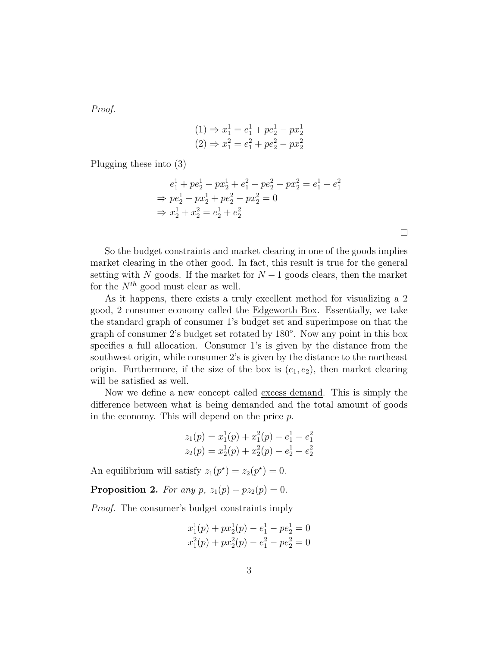Proof.

$$
(1) \Rightarrow x_1^1 = e_1^1 + pe_2^1 - px_2^1
$$
  

$$
(2) \Rightarrow x_1^2 = e_1^2 + pe_2^2 - px_2^2
$$

Plugging these into (3)

$$
e_1^1 + pe_2^1 - px_2^1 + e_1^2 + pe_2^2 - px_2^2 = e_1^1 + e_1^2
$$
  
\n
$$
\Rightarrow pe_2^1 - px_2^1 + pe_2^2 - px_2^2 = 0
$$
  
\n
$$
\Rightarrow x_2^1 + x_2^2 = e_2^1 + e_2^2
$$

So the budget constraints and market clearing in one of the goods implies market clearing in the other good. In fact, this result is true for the general setting with N goods. If the market for  $N-1$  goods clears, then the market for the  $N^{th}$  good must clear as well.

As it happens, there exists a truly excellent method for visualizing a 2 good, 2 consumer economy called the Edgeworth Box. Essentially, we take the standard graph of consumer 1's budget set and superimpose on that the graph of consumer 2's budget set rotated by 180◦ . Now any point in this box specifies a full allocation. Consumer 1's is given by the distance from the southwest origin, while consumer 2's is given by the distance to the northeast origin. Furthermore, if the size of the box is  $(e_1, e_2)$ , then market clearing will be satisfied as well.

Now we define a new concept called excess demand. This is simply the difference between what is being demanded and the total amount of goods in the economy. This will depend on the price p.

$$
z_1(p) = x_1^1(p) + x_1^2(p) - e_1^1 - e_1^2
$$
  

$$
z_2(p) = x_2^1(p) + x_2^2(p) - e_2^1 - e_2^2
$$

An equilibrium will satisfy  $z_1(p^*) = z_2(p^*) = 0$ .

**Proposition 2.** For any  $p$ ,  $z_1(p) + pz_2(p) = 0$ .

Proof. The consumer's budget constraints imply

$$
x_1^1(p) + px_2^1(p) - e_1^1 - pe_2^1 = 0
$$
  

$$
x_1^2(p) + px_2^2(p) - e_1^2 - pe_2^2 = 0
$$

 $\Box$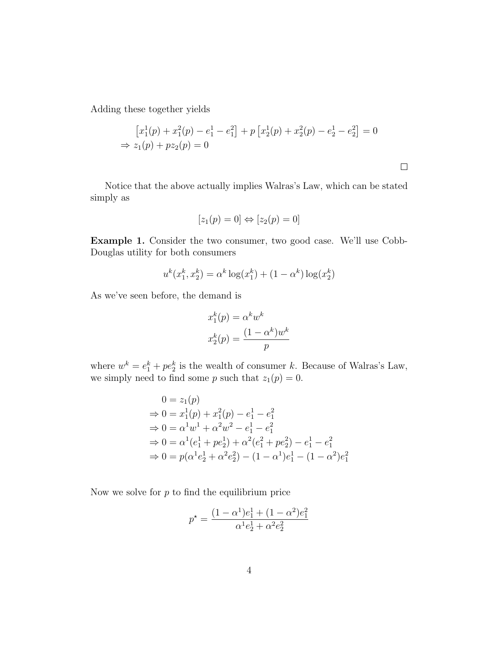Adding these together yields

$$
[x_1^1(p) + x_1^2(p) - e_1^1 - e_1^2] + p [x_2^1(p) + x_2^2(p) - e_2^1 - e_2^2] = 0
$$
  
\n
$$
\Rightarrow z_1(p) + pz_2(p) = 0
$$

 $\Box$ 

Notice that the above actually implies Walras's Law, which can be stated simply as

$$
[z_1(p) = 0] \Leftrightarrow [z_2(p) = 0]
$$

Example 1. Consider the two consumer, two good case. We'll use Cobb-Douglas utility for both consumers

$$
u^{k}(x_1^k, x_2^k) = \alpha^k \log(x_1^k) + (1 - \alpha^k) \log(x_2^k)
$$

As we've seen before, the demand is

$$
x_1^k(p) = \alpha^k w^k
$$

$$
x_2^k(p) = \frac{(1 - \alpha^k)w^k}{p}
$$

where  $w^k = e_1^k + pe_2^k$  is the wealth of consumer k. Because of Walras's Law, we simply need to find some p such that  $z_1(p) = 0$ .

$$
0 = z_1(p)
$$
  
\n
$$
\Rightarrow 0 = x_1^1(p) + x_1^2(p) - e_1^1 - e_1^2
$$
  
\n
$$
\Rightarrow 0 = \alpha^1 w^1 + \alpha^2 w^2 - e_1^1 - e_1^2
$$
  
\n
$$
\Rightarrow 0 = \alpha^1 (e_1^1 + pe_2^1) + \alpha^2 (e_1^2 + pe_2^2) - e_1^1 - e_1^2
$$
  
\n
$$
\Rightarrow 0 = p(\alpha^1 e_2^1 + \alpha^2 e_2^2) - (1 - \alpha^1) e_1^1 - (1 - \alpha^2) e_1^2
$$

Now we solve for  $p$  to find the equilibrium price

$$
p^\star = \frac{(1-\alpha^1)e^1_1 + (1-\alpha^2)e^2_1}{\alpha^1e^1_2 + \alpha^2e^2_2}
$$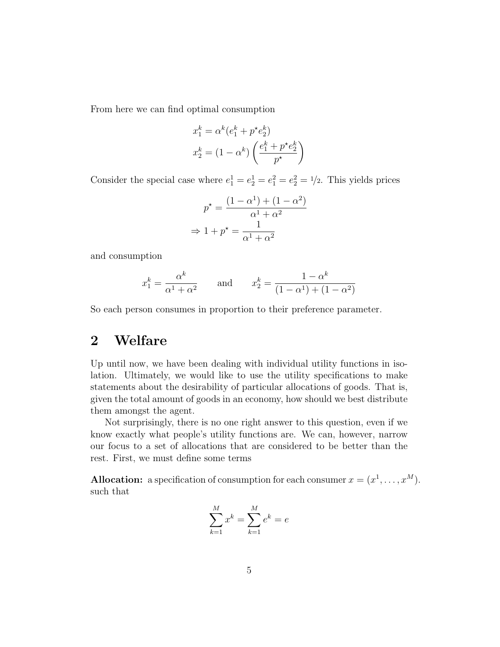From here we can find optimal consumption

$$
x_1^k = \alpha^k (e_1^k + p^* e_2^k)
$$

$$
x_2^k = (1 - \alpha^k) \left( \frac{e_1^k + p^* e_2^k}{p^*} \right)
$$

Consider the special case where  $e_1^1 = e_2^1 = e_1^2 = e_2^2 = 1/2$ . This yields prices

$$
p^* = \frac{(1 - \alpha^1) + (1 - \alpha^2)}{\alpha^1 + \alpha^2}
$$

$$
\Rightarrow 1 + p^* = \frac{1}{\alpha^1 + \alpha^2}
$$

and consumption

$$
x_1^k = \frac{\alpha^k}{\alpha^1 + \alpha^2}
$$
 and  $x_2^k = \frac{1 - \alpha^k}{(1 - \alpha^1) + (1 - \alpha^2)}$ 

So each person consumes in proportion to their preference parameter.

## 2 Welfare

Up until now, we have been dealing with individual utility functions in isolation. Ultimately, we would like to use the utility specifications to make statements about the desirability of particular allocations of goods. That is, given the total amount of goods in an economy, how should we best distribute them amongst the agent.

Not surprisingly, there is no one right answer to this question, even if we know exactly what people's utility functions are. We can, however, narrow our focus to a set of allocations that are considered to be better than the rest. First, we must define some terms

**Allocation:** a specification of consumption for each consumer  $x = (x^1, \dots, x^M)$ . such that

$$
\sum_{k=1}^{M} x^{k} = \sum_{k=1}^{M} e^{k} = e
$$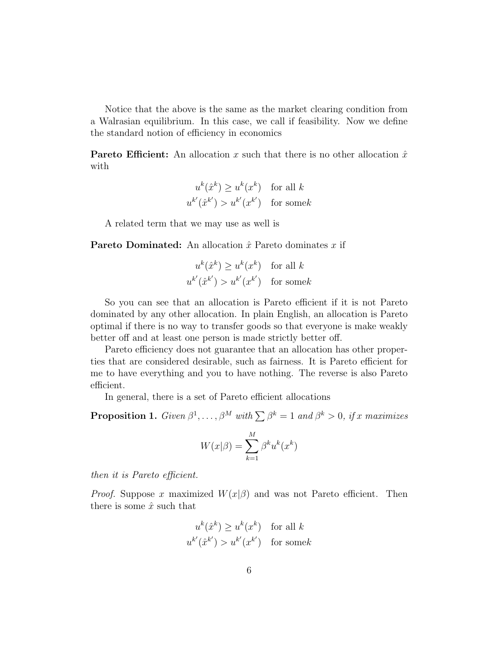Notice that the above is the same as the market clearing condition from a Walrasian equilibrium. In this case, we call if feasibility. Now we define the standard notion of efficiency in economics

**Pareto Efficient:** An allocation x such that there is no other allocation  $\hat{x}$ with

$$
u^{k}(\hat{x}^{k}) \ge u^{k}(x^{k}) \text{ for all } k
$$
  

$$
u^{k'}(\hat{x}^{k'}) > u^{k'}(x^{k'}) \text{ for some } k
$$

A related term that we may use as well is

**Pareto Dominated:** An allocation  $\hat{x}$  Pareto dominates x if

$$
u^{k}(\hat{x}^{k}) \ge u^{k}(x^{k}) \text{ for all } k
$$
  

$$
u^{k'}(\hat{x}^{k'}) > u^{k'}(x^{k'}) \text{ for some } k
$$

So you can see that an allocation is Pareto efficient if it is not Pareto dominated by any other allocation. In plain English, an allocation is Pareto optimal if there is no way to transfer goods so that everyone is make weakly better off and at least one person is made strictly better off.

Pareto efficiency does not guarantee that an allocation has other properties that are considered desirable, such as fairness. It is Pareto efficient for me to have everything and you to have nothing. The reverse is also Pareto efficient.

In general, there is a set of Pareto efficient allocations

**Proposition 1.** Given  $\beta^1, \ldots, \beta^M$  with  $\sum \beta^k = 1$  and  $\beta^k > 0$ , if x maximizes

$$
W(x|\beta) = \sum_{k=1}^{M} \beta^k u^k(x^k)
$$

then it is Pareto efficient.

*Proof.* Suppose x maximized  $W(x|\beta)$  and was not Pareto efficient. Then there is some  $\hat{x}$  such that

$$
u^{k}(\hat{x}^{k}) \ge u^{k}(x^{k}) \text{ for all } k
$$
  

$$
u^{k'}(\hat{x}^{k'}) > u^{k'}(x^{k'}) \text{ for some } k
$$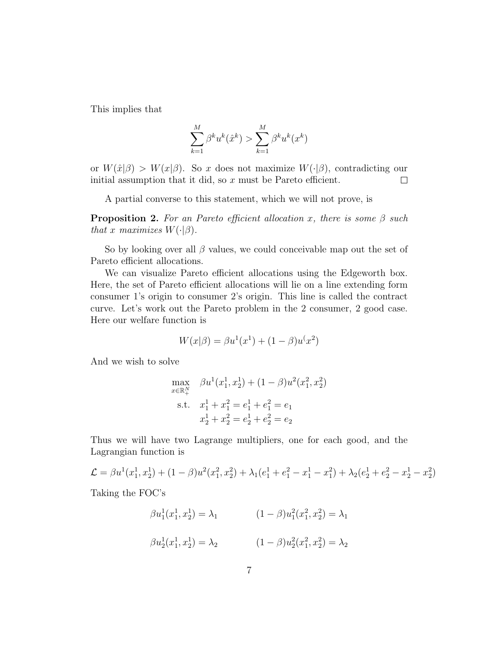This implies that

$$
\sum_{k=1}^{M} \beta^k u^k(\hat{x}^k) > \sum_{k=1}^{M} \beta^k u^k(x^k)
$$

or  $W(\hat{x}|\beta) > W(x|\beta)$ . So x does not maximize  $W(\cdot|\beta)$ , contradicting our initial assumption that it did, so  $x$  must be Pareto efficient.  $\Box$ 

A partial converse to this statement, which we will not prove, is

**Proposition 2.** For an Pareto efficient allocation x, there is some  $\beta$  such that x maximizes  $W(\cdot|\beta)$ .

So by looking over all  $\beta$  values, we could conceivable map out the set of Pareto efficient allocations.

We can visualize Pareto efficient allocations using the Edgeworth box. Here, the set of Pareto efficient allocations will lie on a line extending form consumer 1's origin to consumer 2's origin. This line is called the contract curve. Let's work out the Pareto problem in the 2 consumer, 2 good case. Here our welfare function is

$$
W(x|\beta) = \beta u^{1}(x^{1}) + (1 - \beta)u^{1}(x^{2})
$$

And we wish to solve

$$
\max_{x \in \mathbb{R}_+^N} \beta u^1(x_1^1, x_2^1) + (1 - \beta) u^2(x_1^2, x_2^2)
$$
  
s.t.  $x_1^1 + x_1^2 = e_1^1 + e_1^2 = e_1$   
 $x_2^1 + x_2^2 = e_2^1 + e_2^2 = e_2$ 

Thus we will have two Lagrange multipliers, one for each good, and the Lagrangian function is

$$
\mathcal{L} = \beta u^1(x_1^1, x_2^1) + (1 - \beta)u^2(x_1^2, x_2^2) + \lambda_1(e_1^1 + e_1^2 - x_1^1 - x_1^2) + \lambda_2(e_2^1 + e_2^2 - x_2^1 - x_2^2)
$$

Taking the FOC's

$$
\beta u_1^1(x_1^1, x_2^1) = \lambda_1 \qquad (1 - \beta) u_1^2(x_1^2, x_2^2) = \lambda_1
$$
  

$$
\beta u_2^1(x_1^1, x_2^1) = \lambda_2 \qquad (1 - \beta) u_2^2(x_1^2, x_2^2) = \lambda_2
$$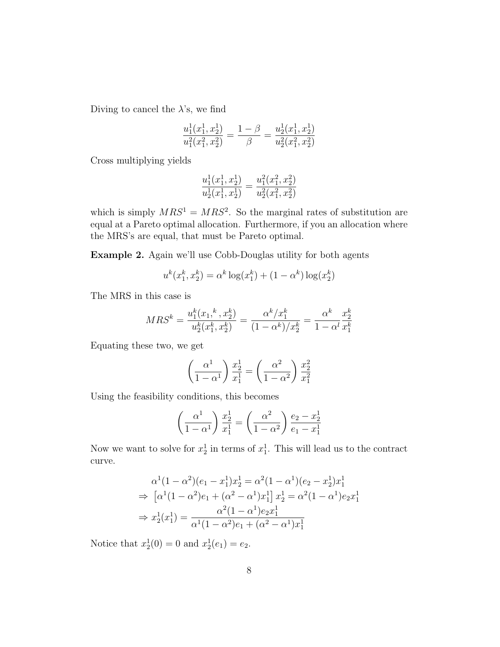Diving to cancel the  $\lambda$ 's, we find

$$
\frac{u_1^1(x_1^1, x_2^1)}{u_1^2(x_1^2, x_2^2)} = \frac{1 - \beta}{\beta} = \frac{u_2^1(x_1^1, x_2^1)}{u_2^2(x_1^2, x_2^2)}
$$

Cross multiplying yields

$$
\frac{u_1^1(x_1^1,x_2^1)}{u_2^1(x_1^1,x_2^1)} = \frac{u_1^2(x_1^2,x_2^2)}{u_2^2(x_1^2,x_2^2)}
$$

which is simply  $MRS^1 = MRS^2$ . So the marginal rates of substitution are equal at a Pareto optimal allocation. Furthermore, if you an allocation where the MRS's are equal, that must be Pareto optimal.

Example 2. Again we'll use Cobb-Douglas utility for both agents

$$
u^{k}(x_1^k, x_2^k) = \alpha^k \log(x_1^k) + (1 - \alpha^k) \log(x_2^k)
$$

The MRS in this case is

$$
MRS^k = \frac{u_1^k(x_1,^k, x_2^k)}{u_2^k(x_1^k, x_2^k)} = \frac{\alpha^k/x_1^k}{(1 - \alpha^k)/x_2^k} = \frac{\alpha^k}{1 - \alpha^l} \frac{x_2^k}{x_1^k}
$$

Equating these two, we get

$$
\left(\frac{\alpha^1}{1-\alpha^1}\right)\frac{x_2^1}{x_1^1} = \left(\frac{\alpha^2}{1-\alpha^2}\right)\frac{x_2^2}{x_1^2}
$$

Using the feasibility conditions, this becomes

$$
\left(\frac{\alpha^1}{1-\alpha^1}\right)\frac{x_2^1}{x_1^1} = \left(\frac{\alpha^2}{1-\alpha^2}\right)\frac{e_2 - x_2^1}{e_1 - x_1^1}
$$

Now we want to solve for  $x_2^1$  in terms of  $x_1^1$ . This will lead us to the contract curve.

$$
\alpha^{1}(1-\alpha^{2})(e_{1}-x_{1}^{1})x_{2}^{1} = \alpha^{2}(1-\alpha^{1})(e_{2}-x_{2}^{1})x_{1}^{1}
$$
\n
$$
\Rightarrow \left[\alpha^{1}(1-\alpha^{2})e_{1} + (\alpha^{2}-\alpha^{1})x_{1}^{1}\right]x_{2}^{1} = \alpha^{2}(1-\alpha^{1})e_{2}x_{1}^{1}
$$
\n
$$
\Rightarrow x_{2}^{1}(x_{1}^{1}) = \frac{\alpha^{2}(1-\alpha^{1})e_{2}x_{1}^{1}}{\alpha^{1}(1-\alpha^{2})e_{1} + (\alpha^{2}-\alpha^{1})x_{1}^{1}}
$$

Notice that  $x_2^1(0) = 0$  and  $x_2^1(e_1) = e_2$ .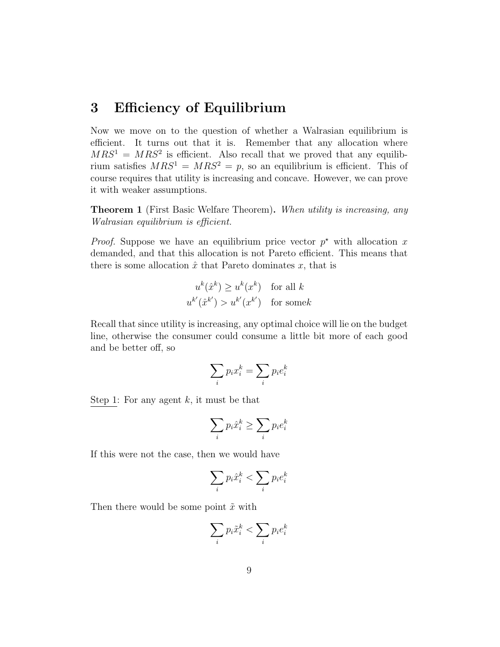## 3 Efficiency of Equilibrium

Now we move on to the question of whether a Walrasian equilibrium is efficient. It turns out that it is. Remember that any allocation where  $MRS<sup>1</sup> = MRS<sup>2</sup>$  is efficient. Also recall that we proved that any equilibrium satisfies  $MRS^1 = MRS^2 = p$ , so an equilibrium is efficient. This of course requires that utility is increasing and concave. However, we can prove it with weaker assumptions.

**Theorem 1** (First Basic Welfare Theorem). When utility is increasing, any Walrasian equilibrium is efficient.

*Proof.* Suppose we have an equilibrium price vector  $p^*$  with allocation x demanded, and that this allocation is not Pareto efficient. This means that there is some allocation  $\hat{x}$  that Pareto dominates x, that is

$$
u^{k}(\hat{x}^{k}) \ge u^{k}(x^{k}) \text{ for all } k
$$
  

$$
u^{k'}(\hat{x}^{k'}) > u^{k'}(x^{k'}) \text{ for some } k
$$

Recall that since utility is increasing, any optimal choice will lie on the budget line, otherwise the consumer could consume a little bit more of each good and be better off, so

$$
\sum_i p_i x_i^k = \sum_i p_i e_i^k
$$

Step 1: For any agent  $k$ , it must be that

$$
\sum_i p_i \hat{x}_i^k \ge \sum_i p_i e_i^k
$$

If this were not the case, then we would have

$$
\sum_i p_i \hat{x}_i^k < \sum_i p_i e_i^k
$$

Then there would be some point  $\tilde{x}$  with

$$
\sum_i p_i \tilde{x}_i^k < \sum_i p_i e_i^k
$$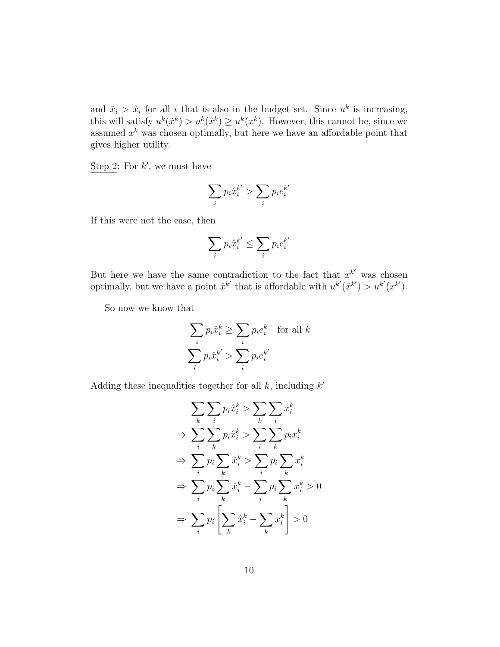and  $\tilde{x}_i > \hat{x}_i$  for all i that is also in the budget set. Since  $u^k$  is increasing, this will satisfy  $u^k(\tilde{x}^k) > u^k(\hat{x}^k) \geq u^k(x^k)$ . However, this cannot be, since we assumed  $x^k$  was chosen optimally, but here we have an affordable point that gives higher utility.

Step 2: For  $k'$ , we must have

$$
\sum_i p_i \hat{x}_i^{k'} > \sum_i p_i e_i^{k'}
$$

If this were not the case, then

$$
\sum_i p_i \hat{x}_i^{k'} \leq \sum_i p_i e_i^{k'}
$$

But here we have the same contradiction to the fact that  $x^{k'}$  was chosen optimally, but we have a point  $\hat{x}^{k'}$  that is affordable with  $u^{k'}(\hat{x}^{k'}) > u^{k'}(x^{k'}).$ 

So now we know that

$$
\sum_{i} p_i \hat{x}_i^k \ge \sum_{i} p_i e_i^k \quad \text{for all } k
$$
  

$$
\sum_{i} p_i \hat{x}_i^{k'} > \sum_{i} p_i e_i^{k'}
$$

Adding these inequalities together for all  $k$ , including  $k'$ 

$$
\sum_{k} \sum_{i} p_{i} \hat{x}_{i}^{k} > \sum_{k} \sum_{i} x_{i}^{k}
$$
\n
$$
\Rightarrow \sum_{i} \sum_{k} p_{i} \hat{x}_{i}^{k} > \sum_{i} \sum_{k} p_{i} x_{i}^{k}
$$
\n
$$
\Rightarrow \sum_{i} p_{i} \sum_{k} \hat{x}_{i}^{k} > \sum_{i} p_{i} \sum_{k} x_{i}^{k}
$$
\n
$$
\Rightarrow \sum_{i} p_{i} \sum_{k} \hat{x}_{i}^{k} - \sum_{i} p_{i} \sum_{k} x_{i}^{k} > 0
$$
\n
$$
\Rightarrow \sum_{i} p_{i} \left[ \sum_{k} \hat{x}_{i}^{k} - \sum_{k} x_{i}^{k} \right] > 0
$$